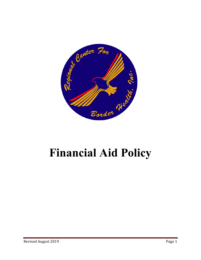

# **Financial Aid Policy**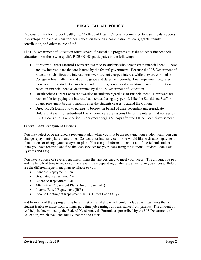## **FINANCIAL AID POLICY**

Regional Center for Border Health, Inc. / College of Health Careers is committed to assisting its students in developing financial plans for their education through a combination of loans, grants, family contribution, and other source of aid.

The U.S Department of Education offers several financial aid programs to assist students finance their education. For those who qualify RCBH/CHC participates in the following:

- Subsidized Direct Stafford Loans are awarded to students who demonstrate financial need. These are low interest loans that are insured by the federal government. Because the U.S Department of Education subsidizes the interest, borrowers are not charged interest while they are enrolled in College at least half-time and during grace and deferment periods. Loan repayment begins six months after the student ceases to attend the college on at least a half-time basis. Eligibility is based on financial need as determined by the U.S Department of Education.
- Unsubsidized Direct Loans are awarded to students regardless of financial need. Borrowers are responsible for paying the interest that accrues during any period. Like the Subsidized Stafford Loans, repayment begins 6 months after the students ceases to attend the College.
- Direct PLUS Loans allows parents to borrow on behalf of their dependent undergraduate children. As with Unsubsidized Loans, borrowers are responsible for the interest that accrues on PLUS Loans during any period. Repayment begins 60 days after the FINAL loan disbursement.

## **Federal Loan Repayment Options**

You may select or be assigned a repayment plan when you first begin repaying your student loan; you can change repayments plans at any time. Contact your loan servicer if you would like to discuss repayment plan options or change your repayment plan. You can get information about all of the federal student loans you have received and find the loan servicer for your loans using the National Student Loan Data System (NSLDS)

You have a choice of several repayment plans that are designed to meet your needs. The amount you pay and the length of time to repay your loans will vary depending on the repayment plan you choose. Below are the different repayment plans available to you:

- Standard Repayment Plan
- Graduated Repayment Plan
- Extended Repayment Plan
- Alternative Repayment Plan (Direct Loan Only)
- Income-Based Repayment (IBR)
- Income Contingent Repayment (ICR) (Direct Loan Only)

Aid from any of these programs is based first on self-help, which could include cash payments that a student is able to make from savings, part-time job earnings and assistance from parents. The amount of self-help is determined by the Federal Need Analysis Formula as prescribed by the U.S Department of Education, which evaluates family income and assets.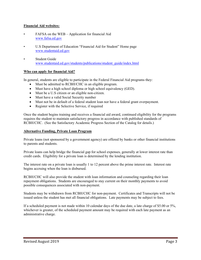## **Financial Aid websites:**

- FAFSA on the WEB Application for financial Aid www.fafsa.ed.gov
- U.S Department of Education "Financial Aid for Student" Home page www.studentaid.ed.gov
- Student Guide www.studentaid.ed.gov/students/publications/student\_guide/index.html

## **Who can apply for financial Aid?**

In general, students are eligible to participate in the Federal Financial Aid programs they:

- Must be admitted to RCBH/CHC in an eligible program.
- Must have a high school diploma or high school equivalency (GED).
- Must be a U.S citizen or an eligible non-citizen.
- Must have a valid Social Security number
- Must not be in default of a federal student loan nor have a federal grant overpayment.
- Register with the Selective Service, if required

Once the student begins training and receives a financial aid award, continued eligibility for the programs requires the student to maintain satisfactory progress in accordance with published standards of RCBH/CHC. (See the Satisfactory Academic Progress Section of the Catalog for details.)

#### **Alternative Funding, Private Loan Program**

Private loans (not sponsored by a government agency) are offered by banks or other financial institutions to parents and students.

Private loans can help bridge the financial gap for school expenses, generally at lower interest rate than credit cards. Eligibility for a private loan is determined by the lending institution.

The interest rate on a private loan is usually 1 to 12 percent above the prime interest rate. Interest rate begins accruing when the loan is disbursed.

RCBH/CHC will also provide the student with loan information and counseling regarding their loan repayment obligations. Students are encouraged to stay current on their monthly payments to avoid possible consequences associated with non-payment.

Students may be withdrawn from RCBH/CHC for non-payment. Certificates and Transcripts will not be issued unless the student has met all financial obligations. Late payments may be subject to fees.

If a scheduled payment is not made within 10 calendar days of the due date, a late charge of \$5.00 or 5%, whichever is greater, of the scheduled payment amount may be required with each late payment as an administrative charge.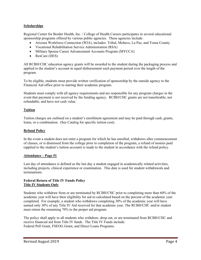## **Scholarships**

Regional Center for Border Health, Inc. / College of Health Careers participates in several educational sponsorship programs offered by various public agencies. These agencies include:

- Arizona Workforce Connection (WIA), includes: Tribal, Mohave, La Paz, and Yuma County
- Vocational Rehabilitation Service Administration (RSA)
- Military Spouse Career Advancement Accounts Program (MYCCA)
- ResCare (DES)

All RCBH/CHC education agency grants will be awarded to the student during the packaging process and applied to the student's account in equal disbursement each payment period over the length of the program.

To be eligible, students must provide written verification of sponsorship by the outside agency to the Financial Aid office prior to starting their academic program.

Students must comply with all agency requirements and are responsible for any program charges in the event that payment is not received by the funding agency. RCBH/CHC grants are not transferable, not refundable, and have not cash value.

## **Tuition**

Tuition charges are outlined on a student's enrollment agreement and may be paid through cash, grants, loans, or a combination. (See Catalog for specific tuition cost).

## **Refund Policy**

In the event a student does not enter a program for which he has enrolled, withdraws after commencement of classes, or is dismissed from the college prior to completion of the program, a refund of monies paid (applied to the student's tuition account) is made to the student in accordance with the refund policy.

## **Attendance – Page 51**

Last day of attendance is defined as the last day a student engaged in academically related activities, including projects, clinical experience or examination. This date is used for student withdrawals and terminations.

## **Federal Return of Title IV Funds Policy Title IV Students Only**

Students who withdraw from or are terminated by RCBH/CHC prior to completing more than 60% of the academic year will have their eligibility for aid re-calculated based on the percent of the academic year completed. For example, a student who withdraws completing 30% of the academic year will have earned only 30% of any Title IV Aid received for that academic year. The RCBH/CHC and/or student must return the remaining 70% to the proper aid program.

The policy shall apply to all students who withdraw, drop out, or are terminated from RCBH/CHC and receive financial aid from Title IV funds. The Title IV Funds include: Federal Pell Grant, FSEOG Grant, and Direct Loans Programs.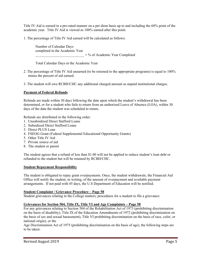Title IV Aid is earned in a pro-rated manner on a per diem basis up to and including the 60% point of the academic year. Title IV Aid is viewed as 100% earned after this point.

1. The percentage of Title IV Aid earned will be calculated as follows:

 Number of Calendar Days completed in the Academic Year  $=$  % of Academic Year Completed

Total Calendar Days in the Academic Year

- 2. The percentage of Title IV Aid unearned (to be returned to the appropriate programs) is equal to 100% minus the percent of aid earned.
- 3. The student will owe RCBH/CHC any additional charged amount as unpaid institutional charges.

## **Payment of Federal Refunds**

Refunds are made within 30 days following the date upon which the student's withdrawal has been determined, or for a student who fails to return from an authorized Leave of Absence (LOA), within 30 days of the date the student was scheduled to return.

Refunds are distributed in the following order:

- 1. Unsubsidized Direct Stafford Loans
- 2. Subsidized Direct Stafford Loans
- 3. Direct PLUS Loan
- 4. FSEOG Grant (Federal Supplemental Educational Opportunity Grants)
- 5. Other Title IV Aid
- 7. Private source of aid
- 8. The student or parent

The student agrees that a refund of less than \$1.00 will not be applied to reduce student's loan debt or refunded to the student but will be retained by RCBH/CHC.

## **Student Repayment Responsibility**

The student is obligated to repay grant overpayments. Once, the student withdrawals, the Financial Aid Office will notify the student, in writing, of the amount of overpayment and available payment arrangements. If not paid with 45 days, the U.S Department of Education will be notified.

## **Student Complaint / Grievance Procedure – Page 58**

Student grievances relating to the College matters; procedures for a student to file a grievance:

## **Grievances for Section 504, Title IX, Title VI and Age Complaints – Page 58**

For any grievances relating to Section 504 of the Rehabilitation Act of 1973 (prohibiting discrimination on the basis of disability), Title IX of the Education Amendments of 1972 (prohibiting discrimination on the basis of sex and sexual harassment), Title VI prohibiting discrimination on the basis of race, color, or national origin), or the

Age Discrimination Act of 1975 (prohibiting discrimination on the basis of age), the following steps are to be taken: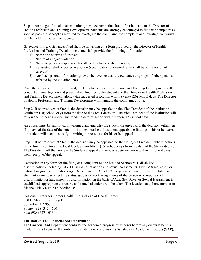Step 1: An alleged formal discrimination grievance complaint should first be made to the Director of Health Profession and Training Development. Students are strongly encouraged to file their complaint as soon as possible. Accept as required to investigate the complaint, the complaint and investigative results will be held in strictest confidence.

Grievance filing: Grievances filed shall be in writing on a form provided by the Director of Health Profession and Training Development, and shall provide the following information:

- 1) Name and address of grievant
- 2) Nature of alleged violation
- 3) Name of persons responsible for alleged violation (where known)
- 4) Requested relief or corrective action (specification of desired relief shall be at the option of grievant)
- 5) Any background information grievant believes relevant (e.g., names or groups of other persons affected by the violation, etc).

Once the grievance form is received, the Director of Health Profession and Training Development will conduct an investigation and present their findings to the student and the Director of Health Profession and Training Development, along with suggested resolution within twenty (20) school days. The Director of Health Profession and Training Development will maintain the complaint on file.

Step 2: If not resolved at Step 1, the decision may be appealed to the Vice President of the institution within ten (10) school days from the date of the Step 1 decision. The Vice President of the institution will review the Student's appeal and render a determination within fifteen (15) school days.

An appeal must be submitted in writing clarifying why the student disagrees with the decision within ten (10) days of the date of the letter of findings. Further, if a student appeals the findings in his or her case, the student will need to specify in writing the reason(s) for his or her appeal.

Step 3: If not resolved at Step 2, the decision may be appealed, to the College's President, who functions as the final mediator at the local level, within fifteen (15) school days from the date of the Step 2 decision. The President will then review the Student's appeal and render a determination within 15 school days from receipt of the appeal.

Retaliation in any form for the filing of a complaint on the basis of Section 504 (disability discrimination), including Title IX (sex discrimination and sexual harassment), Title IV (race, color, or national origin discrimination) Age Discrimination Act of 1975 (age discrimination), is prohibited and shall not in any way affect the status, grades or work assignments of the person who reports such discrimination or harassment. If discrimination on the basis of Age, Sex, Race, or Sexual Harassment is established, appropriate corrective and remedial actions will be taken. The location and phone number to file the Title VI/Title IX/Section is:

Regional Center for Border Health, Inc. College of Health Careers 950 E. Main St. Building B Somerton, AZ 85350 Phone: (928) 315-7600 Fax: (928) 627-1013

## **The Role of The Financial Aid Department**

The Financial Aid Department confirms the academic progress of students before any disbursement is made. This is to ensure that only those students who are making Satisfactory Academic Progress (SAP),